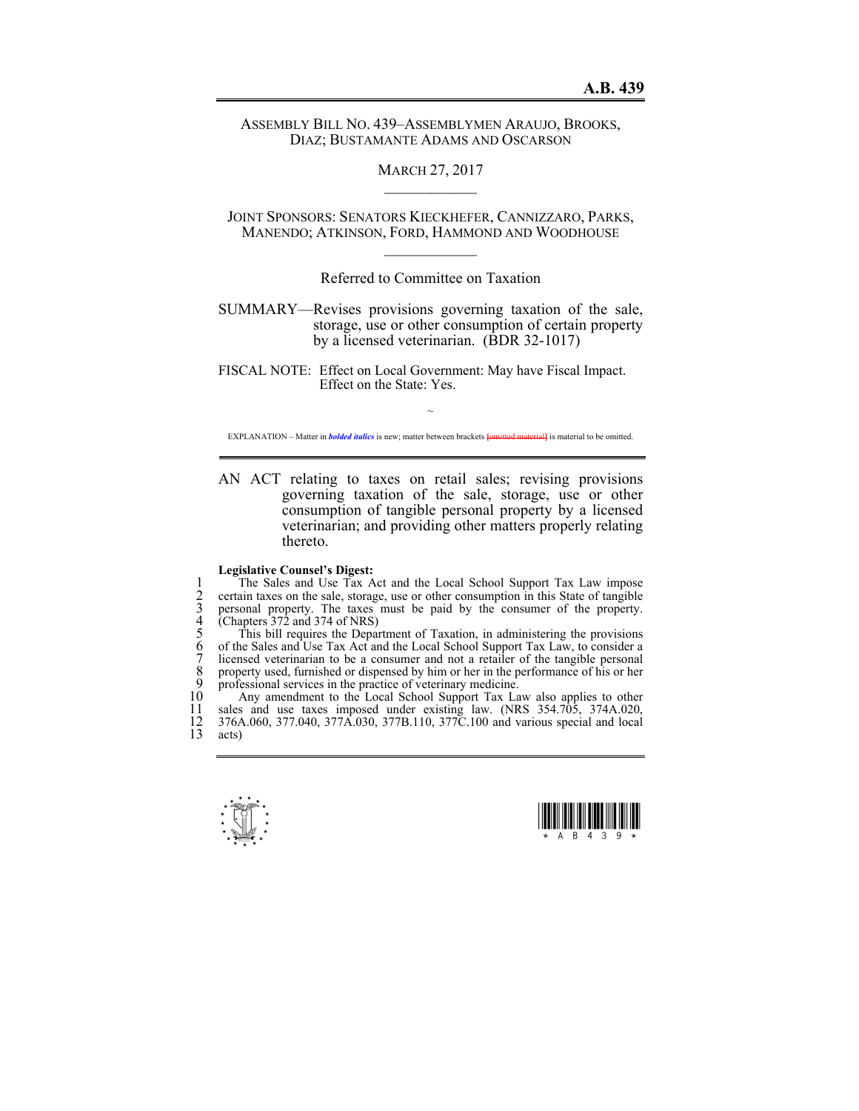## ASSEMBLY BILL NO. 439–ASSEMBLYMEN ARAUJO, BROOKS, DIAZ; BUSTAMANTE ADAMS AND OSCARSON

## MARCH 27, 2017  $\mathcal{L}_\text{max}$

JOINT SPONSORS: SENATORS KIECKHEFER, CANNIZZARO, PARKS, MANENDO; ATKINSON, FORD, HAMMOND AND WOODHOUSE  $\mathcal{L}_\text{max}$ 

Referred to Committee on Taxation

SUMMARY—Revises provisions governing taxation of the sale, storage, use or other consumption of certain property by a licensed veterinarian. (BDR 32-1017)

FISCAL NOTE: Effect on Local Government: May have Fiscal Impact. Effect on the State: Yes.

~ EXPLANATION – Matter in *bolded italics* is new; matter between brackets **[**omitted material**]** is material to be omitted.

AN ACT relating to taxes on retail sales; revising provisions governing taxation of the sale, storage, use or other consumption of tangible personal property by a licensed veterinarian; and providing other matters properly relating thereto.

## **Legislative Counsel's Digest:**

2 certain taxes on the sale, storage, use or other consumption in this State of tangible 3 personal property. The taxes must be paid by the consumer of the property.  $(Chapters 372 and 374 of NRS)$ 

The Sales and Use Tax Act and the Local School Support Tax Law impose<br>
2 certain taxes on the sale, storage, use or other consumption in this State of tangible<br>
9 personal property. The taxes must be paid by the consumer o This bill requires the Department of Taxation, in administering the provisions of the Sales and Use Tax Act and the Local School Support Tax Law, to consider a 1 licensed veterinarian to be a consumer and not a retailer of the tangible personal 8 property used, furnished or dispensed by him or her in the performance of his or her 9 professional services in the practice of veterinary medicine.<br>10 Any amendment to the Local School Support Tax La

10 Any amendment to the Local School Support Tax Law also applies to other 1 sales and use taxes imposed under existing law. (NRS 354.705, 374A.020, 11 sales and use taxes imposed under existing law. (NRS 354.705, 374A.020, 12 376A.060, 377.040, 377A.030, 377B.110, 377C.100 and various special and local 13 acts)